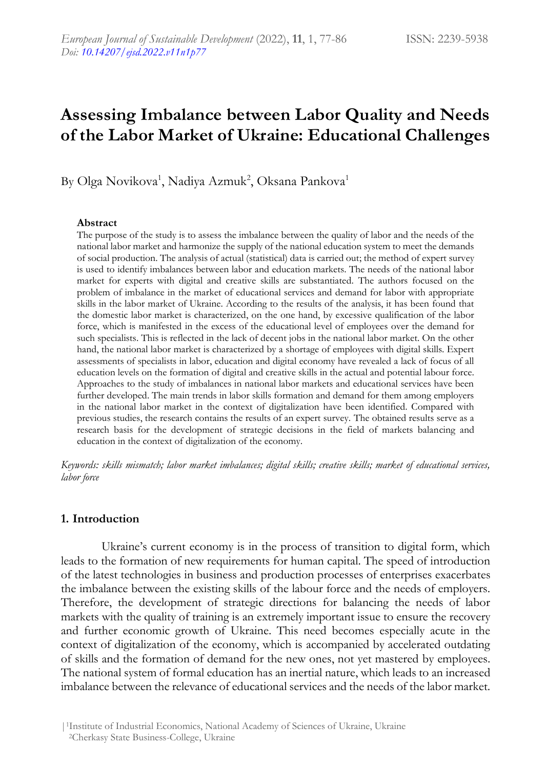# **Assessing Imbalance between Labor Quality and Needs of the Labor Market of Ukraine: Educational Challenges**

By Olga Novikova<sup>1</sup>, Nadiya Azmuk<sup>2</sup>, Oksana Pankova<sup>1</sup>

#### **Abstract**

The purpose of the study is to assess the imbalance between the quality of labor and the needs of the national labor market and harmonize the supply of the national education system to meet the demands of social production. The analysis of actual (statistical) data is carried out; the method of expert survey is used to identify imbalances between labor and education markets. The needs of the national labor market for experts with digital and creative skills are substantiated. The authors focused on the problem of imbalance in the market of educational services and demand for labor with appropriate skills in the labor market of Ukraine. According to the results of the analysis, it has been found that the domestic labor market is characterized, on the one hand, by excessive qualification of the labor force, which is manifested in the excess of the educational level of employees over the demand for such specialists. This is reflected in the lack of decent jobs in the national labor market. On the other hand, the national labor market is characterized by a shortage of employees with digital skills. Expert assessments of specialists in labor, education and digital economy have revealed a lack of focus of all education levels on the formation of digital and creative skills in the actual and potential labour force. Approaches to the study of imbalances in national labor markets and educational services have been further developed. The main trends in labor skills formation and demand for them among employers in the national labor market in the context of digitalization have been identified. Compared with previous studies, the research contains the results of an expert survey. The obtained results serve as a research basis for the development of strategic decisions in the field of markets balancing and education in the context of digitalization of the economy.

*Keywords: skills mismatch; labor market imbalances; digital skills; creative skills; market of educational services, labor force*

### **1. Introduction**

Ukraine's current economy is in the process of transition to digital form, which leads to the formation of new requirements for human capital. The speed of introduction of the latest technologies in business and production processes of enterprises exacerbates the imbalance between the existing skills of the labour force and the needs of employers. Therefore, the development of strategic directions for balancing the needs of labor markets with the quality of training is an extremely important issue to ensure the recovery and further economic growth of Ukraine. This need becomes especially acute in the context of digitalization of the economy, which is accompanied by accelerated outdating of skills and the formation of demand for the new ones, not yet mastered by employees. The national system of formal education has an inertial nature, which leads to an increased imbalance between the relevance of educational services and the needs of the labor market.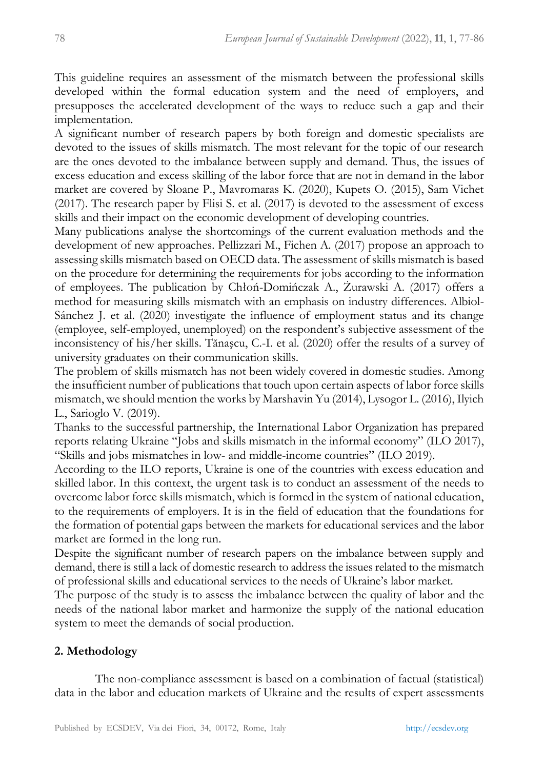This guideline requires an assessment of the mismatch between the professional skills developed within the formal education system and the need of employers, and presupposes the accelerated development of the ways to reduce such a gap and their implementation.

A significant number of research papers by both foreign and domestic specialists are devoted to the issues of skills mismatch. The most relevant for the topic of our research are the ones devoted to the imbalance between supply and demand. Thus, the issues of excess education and excess skilling of the labor force that are not in demand in the labor market are covered by Sloane P., Mavromaras K. (2020), Kupets O. (2015), Sam Vichet (2017). The research paper by Flisi S. et al. (2017) is devoted to the assessment of excess skills and their impact on the economic development of developing countries.

Many publications analyse the shortcomings of the current evaluation methods and the development of new approaches. Pellizzari M., Fichen A. (2017) propose an approach to assessing skills mismatch based on OECD data. The assessment of skills mismatch is based on the procedure for determining the requirements for jobs according to the information of employees. The publication by Chłoń-Domińczak A., Żurawski A. (2017) offers a method for measuring skills mismatch with an emphasis on industry differences. Albiol-Sánchez J. et al. (2020) investigate the influence of employment status and its change (employee, self-employed, unemployed) on the respondent's subjective assessment of the inconsistency of his/her skills. Tănaşcu, C.-I. et al. (2020) offer the results of a survey of university graduates on their communication skills.

The problem of skills mismatch has not been widely covered in domestic studies. Among the insufficient number of publications that touch upon certain aspects of labor force skills mismatch, we should mention the works by Marshavin Yu (2014), Lysogor L. (2016), Ilyich L., Sarioglo V. (2019).

Thanks to the successful partnership, the International Labor Organization has prepared reports relating Ukraine "Jobs and skills mismatch in the informal economy" (ILO 2017), "Skills and jobs mismatches in low- and middle-income countries" (ILO 2019).

According to the ILO reports, Ukraine is one of the countries with excess education and skilled labor. In this context, the urgent task is to conduct an assessment of the needs to overcome labor force skills mismatch, which is formed in the system of national education, to the requirements of employers. It is in the field of education that the foundations for the formation of potential gaps between the markets for educational services and the labor market are formed in the long run.

Despite the significant number of research papers on the imbalance between supply and demand, there is still a lack of domestic research to address the issues related to the mismatch of professional skills and educational services to the needs of Ukraine's labor market.

The purpose of the study is to assess the imbalance between the quality of labor and the needs of the national labor market and harmonize the supply of the national education system to meet the demands of social production.

# **2. Methodology**

The non-compliance assessment is based on a combination of factual (statistical) data in the labor and education markets of Ukraine and the results of expert assessments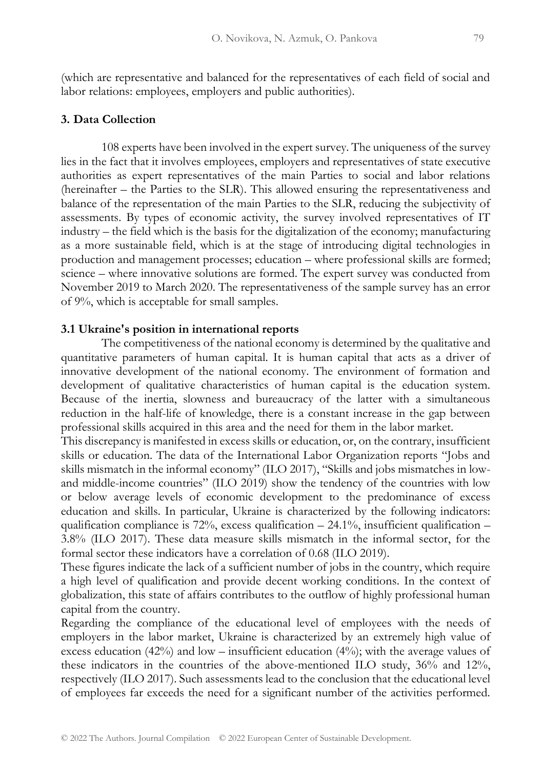(which are representative and balanced for the representatives of each field of social and labor relations: employees, employers and public authorities).

## **3. Data Collection**

108 experts have been involved in the expert survey. The uniqueness of the survey lies in the fact that it involves employees, employers and representatives of state executive authorities as expert representatives of the main Parties to social and labor relations (hereinafter – the Parties to the SLR). This allowed ensuring the representativeness and balance of the representation of the main Parties to the SLR, reducing the subjectivity of assessments. By types of economic activity, the survey involved representatives of IT industry – the field which is the basis for the digitalization of the economy; manufacturing as a more sustainable field, which is at the stage of introducing digital technologies in production and management processes; education – where professional skills are formed; science – where innovative solutions are formed. The expert survey was conducted from November 2019 to March 2020. The representativeness of the sample survey has an error of 9%, which is acceptable for small samples.

#### **3.1 Ukraine's position in international reports**

The competitiveness of the national economy is determined by the qualitative and quantitative parameters of human capital. It is human capital that acts as a driver of innovative development of the national economy. The environment of formation and development of qualitative characteristics of human capital is the education system. Because of the inertia, slowness and bureaucracy of the latter with a simultaneous reduction in the half-life of knowledge, there is a constant increase in the gap between professional skills acquired in this area and the need for them in the labor market.

This discrepancy is manifested in excess skills or education, or, on the contrary, insufficient skills or education. The data of the International Labor Organization reports "Jobs and skills mismatch in the informal economy" (ILO 2017), "Skills and jobs mismatches in lowand middle-income countries" (ILO 2019) show the tendency of the countries with low or below average levels of economic development to the predominance of excess education and skills. In particular, Ukraine is characterized by the following indicators: qualification compliance is 72%, excess qualification  $- 24.1$ %, insufficient qualification – 3.8% (ILO 2017). These data measure skills mismatch in the informal sector, for the formal sector these indicators have a correlation of 0.68 (ILO 2019).

These figures indicate the lack of a sufficient number of jobs in the country, which require a high level of qualification and provide decent working conditions. In the context of globalization, this state of affairs contributes to the outflow of highly professional human capital from the country.

Regarding the compliance of the educational level of employees with the needs of employers in the labor market, Ukraine is characterized by an extremely high value of excess education  $(42%)$  and low – insufficient education  $(4%)$ ; with the average values of these indicators in the countries of the above-mentioned ILO study, 36% and 12%, respectively (ILO 2017). Such assessments lead to the conclusion that the educational level of employees far exceeds the need for a significant number of the activities performed.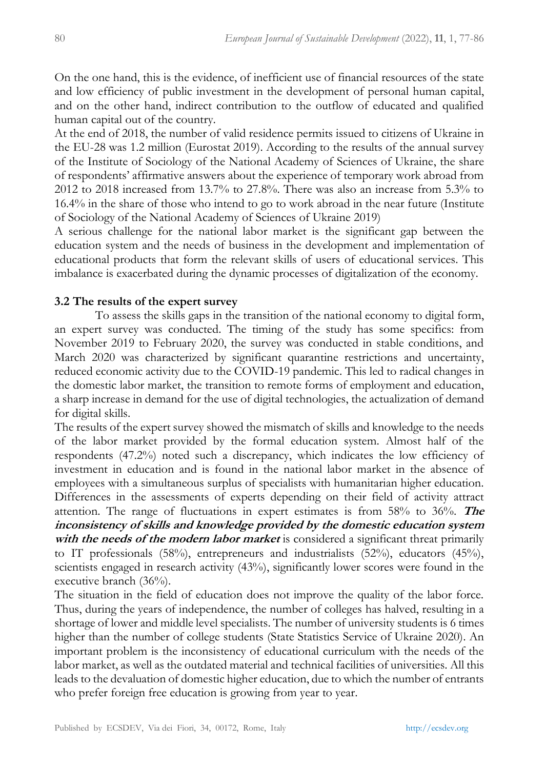On the one hand, this is the evidence, of inefficient use of financial resources of the state and low efficiency of public investment in the development of personal human capital, and on the other hand, indirect contribution to the outflow of educated and qualified human capital out of the country.

At the end of 2018, the number of valid residence permits issued to citizens of Ukraine in the EU-28 was 1.2 million (Eurostat 2019). According to the results of the annual survey of the Institute of Sociology of the National Academy of Sciences of Ukraine, the share of respondents' affirmative answers about the experience of temporary work abroad from 2012 to 2018 increased from 13.7% to 27.8%. There was also an increase from 5.3% to 16.4% in the share of those who intend to go to work abroad in the near future (Institute of Sociology of the National Academy of Sciences of Ukraine 2019)

A serious challenge for the national labor market is the significant gap between the education system and the needs of business in the development and implementation of educational products that form the relevant skills of users of educational services. This imbalance is exacerbated during the dynamic processes of digitalization of the economy.

# **3.2 The results of the expert survey**

To assess the skills gaps in the transition of the national economy to digital form, an expert survey was conducted. The timing of the study has some specifics: from November 2019 to February 2020, the survey was conducted in stable conditions, and March 2020 was characterized by significant quarantine restrictions and uncertainty, reduced economic activity due to the COVID-19 pandemic. This led to radical changes in the domestic labor market, the transition to remote forms of employment and education, a sharp increase in demand for the use of digital technologies, the actualization of demand for digital skills.

The results of the expert survey showed the mismatch of skills and knowledge to the needs of the labor market provided by the formal education system. Almost half of the respondents (47.2%) noted such a discrepancy, which indicates the low efficiency of investment in education and is found in the national labor market in the absence of employees with a simultaneous surplus of specialists with humanitarian higher education. Differences in the assessments of experts depending on their field of activity attract attention. The range of fluctuations in expert estimates is from 58% to 36%. **The inconsistency of skills and knowledge provided by the domestic education system with the needs of the modern labor market** is considered a significant threat primarily to IT professionals (58%), entrepreneurs and industrialists (52%), educators (45%), scientists engaged in research activity (43%), significantly lower scores were found in the executive branch (36%).

The situation in the field of education does not improve the quality of the labor force. Thus, during the years of independence, the number of colleges has halved, resulting in a shortage of lower and middle level specialists. The number of university students is 6 times higher than the number of college students (State Statistics Service of Ukraine 2020). An important problem is the inconsistency of educational curriculum with the needs of the labor market, as well as the outdated material and technical facilities of universities. All this leads to the devaluation of domestic higher education, due to which the number of entrants who prefer foreign free education is growing from year to year.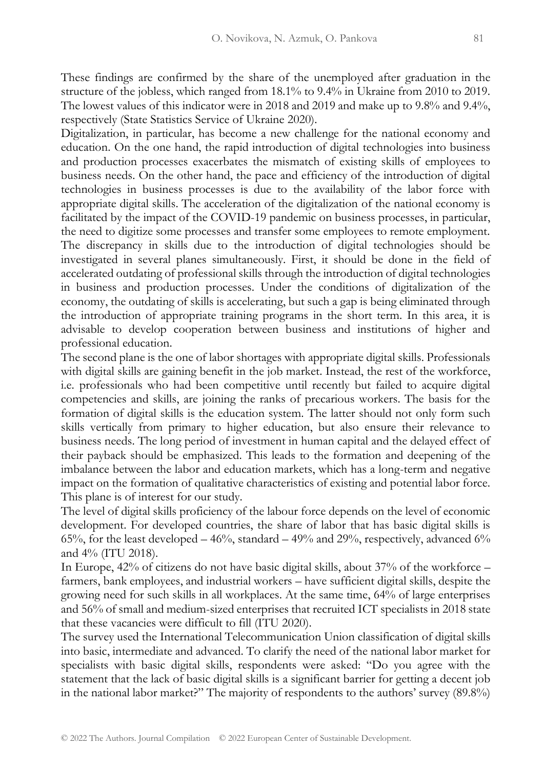These findings are confirmed by the share of the unemployed after graduation in the structure of the jobless, which ranged from 18.1% to 9.4% in Ukraine from 2010 to 2019. The lowest values of this indicator were in 2018 and 2019 and make up to 9.8% and 9.4%, respectively (State Statistics Service of Ukraine 2020).

Digitalization, in particular, has become a new challenge for the national economy and education. On the one hand, the rapid introduction of digital technologies into business and production processes exacerbates the mismatch of existing skills of employees to business needs. On the other hand, the pace and efficiency of the introduction of digital technologies in business processes is due to the availability of the labor force with appropriate digital skills. The acceleration of the digitalization of the national economy is facilitated by the impact of the COVID-19 pandemic on business processes, in particular, the need to digitize some processes and transfer some employees to remote employment. The discrepancy in skills due to the introduction of digital technologies should be investigated in several planes simultaneously. First, it should be done in the field of accelerated outdating of professional skills through the introduction of digital technologies in business and production processes. Under the conditions of digitalization of the economy, the outdating of skills is accelerating, but such a gap is being eliminated through the introduction of appropriate training programs in the short term. In this area, it is advisable to develop cooperation between business and institutions of higher and professional education.

The second plane is the one of labor shortages with appropriate digital skills. Professionals with digital skills are gaining benefit in the job market. Instead, the rest of the workforce, i.e. professionals who had been competitive until recently but failed to acquire digital competencies and skills, are joining the ranks of precarious workers. The basis for the formation of digital skills is the education system. The latter should not only form such skills vertically from primary to higher education, but also ensure their relevance to business needs. The long period of investment in human capital and the delayed effect of their payback should be emphasized. This leads to the formation and deepening of the imbalance between the labor and education markets, which has a long-term and negative impact on the formation of qualitative characteristics of existing and potential labor force. This plane is of interest for our study.

The level of digital skills proficiency of the labour force depends on the level of economic development. For developed countries, the share of labor that has basic digital skills is 65%, for the least developed  $-46%$ , standard  $-49%$  and 29%, respectively, advanced 6% and 4% (ITU 2018).

In Europe, 42% of citizens do not have basic digital skills, about 37% of the workforce – farmers, bank employees, and industrial workers – have sufficient digital skills, despite the growing need for such skills in all workplaces. At the same time, 64% of large enterprises and 56% of small and medium-sized enterprises that recruited ICT specialists in 2018 state that these vacancies were difficult to fill (ITU 2020).

The survey used the International Telecommunication Union classification of digital skills into basic, intermediate and advanced. To clarify the need of the national labor market for specialists with basic digital skills, respondents were asked: "Do you agree with the statement that the lack of basic digital skills is a significant barrier for getting a decent job in the national labor market?" The majority of respondents to the authors' survey (89.8%)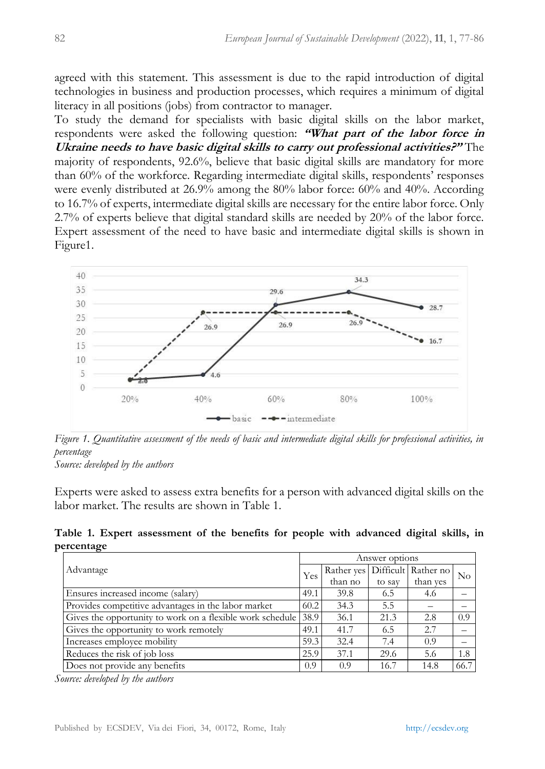agreed with this statement. This assessment is due to the rapid introduction of digital technologies in business and production processes, which requires a minimum of digital literacy in all positions (jobs) from contractor to manager.

To study the demand for specialists with basic digital skills on the labor market, respondents were asked the following question: **"What part of the labor force in Ukraine needs to have basic digital skills to carry out professional activities?"** The majority of respondents, 92.6%, believe that basic digital skills are mandatory for more than 60% of the workforce. Regarding intermediate digital skills, respondents' responses were evenly distributed at 26.9% among the 80% labor force: 60% and 40%. According to 16.7% of experts, intermediate digital skills are necessary for the entire labor force. Only 2.7% of experts believe that digital standard skills are needed by 20% of the labor force. Expert assessment of the need to have basic and intermediate digital skills is shown in Figure1.



*Figure 1. Quantitative assessment of the needs of basic and intermediate digital skills for professional activities, in percentage*

*Source: developed by the authors*

Experts were asked to assess extra benefits for a person with advanced digital skills on the labor market. The results are shown in Table 1.

**Table 1. Expert assessment of the benefits for people with advanced digital skills, in percentage**

| Advantage                                                      | Answer options |                                    |        |          |          |
|----------------------------------------------------------------|----------------|------------------------------------|--------|----------|----------|
|                                                                | Yes            | Rather yes   Difficult   Rather no |        |          | $\rm No$ |
|                                                                |                | than no                            | to say | than yes |          |
| Ensures increased income (salary)                              | 49.1           | 39.8                               | 6.5    | 4.6      |          |
| Provides competitive advantages in the labor market            | 60.2           | 34.3                               | 5.5    |          |          |
| Gives the opportunity to work on a flexible work schedule 38.9 |                | 36.1                               | 21.3   | 2.8      | 0.9      |
| Gives the opportunity to work remotely                         | 49.1           | 41.7                               | 6.5    | 2.7      |          |
| Increases employee mobility                                    | 59.3           | 32.4                               | 7.4    | 0.9      |          |
| Reduces the risk of job loss                                   | 25.9           | 37.1                               | 29.6   | 5.6      | 1.8      |
| Does not provide any benefits                                  | 0.9            | 0.9                                | 16.7   | 14.8     | 66.7     |

*Source: developed by the authors*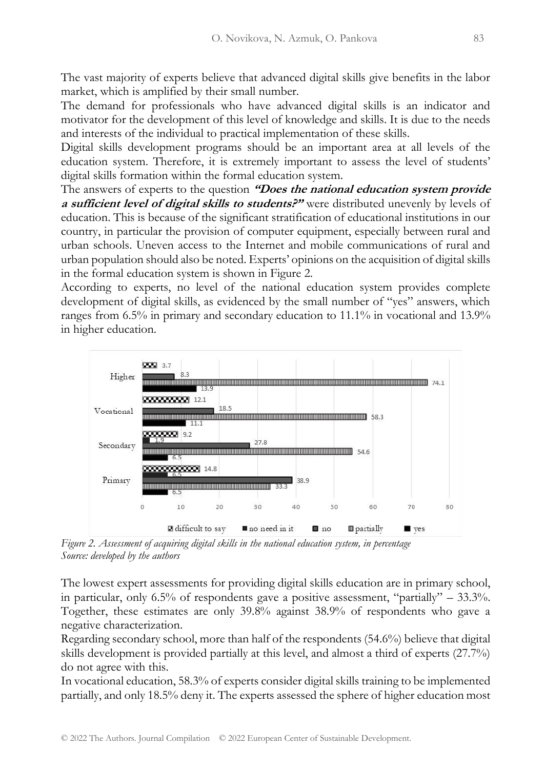The vast majority of experts believe that advanced digital skills give benefits in the labor market, which is amplified by their small number.

The demand for professionals who have advanced digital skills is an indicator and motivator for the development of this level of knowledge and skills. It is due to the needs and interests of the individual to practical implementation of these skills.

Digital skills development programs should be an important area at all levels of the education system. Therefore, it is extremely important to assess the level of students' digital skills formation within the formal education system.

The answers of experts to the question **"Does the national education system provide a sufficient level of digital skills to students?"** were distributed unevenly by levels of education. This is because of the significant stratification of educational institutions in our country, in particular the provision of computer equipment, especially between rural and urban schools. Uneven access to the Internet and mobile communications of rural and urban population should also be noted. Experts' opinions on the acquisition of digital skills in the formal education system is shown in Figure 2.

According to experts, no level of the national education system provides complete development of digital skills, as evidenced by the small number of "yes" answers, which ranges from 6.5% in primary and secondary education to 11.1% in vocational and 13.9% in higher education.



*Figure 2. Assessment of acquiring digital skills in the national education system, in percentage Source: developed by the authors*

The lowest expert assessments for providing digital skills education are in primary school, in particular, only 6.5% of respondents gave a positive assessment, "partially"  $-$  33.3%. Together, these estimates are only 39.8% against 38.9% of respondents who gave a negative characterization.

Regarding secondary school, more than half of the respondents (54.6%) believe that digital skills development is provided partially at this level, and almost a third of experts (27.7%) do not agree with this.

In vocational education, 58.3% of experts consider digital skills training to be implemented partially, and only 18.5% deny it. The experts assessed the sphere of higher education most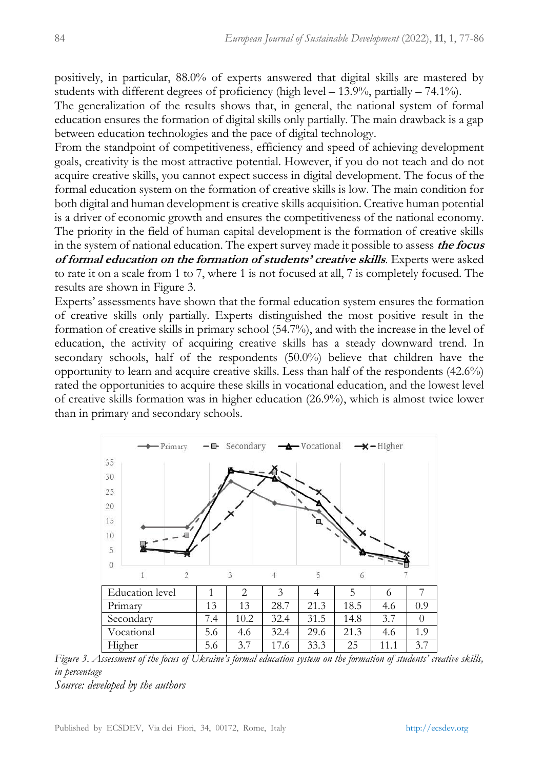positively, in particular, 88.0% of experts answered that digital skills are mastered by students with different degrees of proficiency (high level  $- 13.9\%$ , partially  $- 74.1\%$ ).

The generalization of the results shows that, in general, the national system of formal education ensures the formation of digital skills only partially. The main drawback is a gap between education technologies and the pace of digital technology.

From the standpoint of competitiveness, efficiency and speed of achieving development goals, creativity is the most attractive potential. However, if you do not teach and do not acquire creative skills, you cannot expect success in digital development. The focus of the formal education system on the formation of creative skills is low. The main condition for both digital and human development is creative skills acquisition. Creative human potential is a driver of economic growth and ensures the competitiveness of the national economy. The priority in the field of human capital development is the formation of creative skills in the system of national education. The expert survey made it possible to assess **the focus of formal education on the formation of students' creative skills**. Experts were asked to rate it on a scale from 1 to 7, where 1 is not focused at all, 7 is completely focused. The results are shown in Figure 3.

Experts' assessments have shown that the formal education system ensures the formation of creative skills only partially. Experts distinguished the most positive result in the formation of creative skills in primary school (54.7%), and with the increase in the level of education, the activity of acquiring creative skills has a steady downward trend. In secondary schools, half of the respondents (50.0%) believe that children have the opportunity to learn and acquire creative skills. Less than half of the respondents (42.6%) rated the opportunities to acquire these skills in vocational education, and the lowest level of creative skills formation was in higher education (26.9%), which is almost twice lower than in primary and secondary schools.



*Figure 3. Assessment of the focus of Ukraine's formal education system on the formation of students' creative skills, in percentage Source: developed by the authors*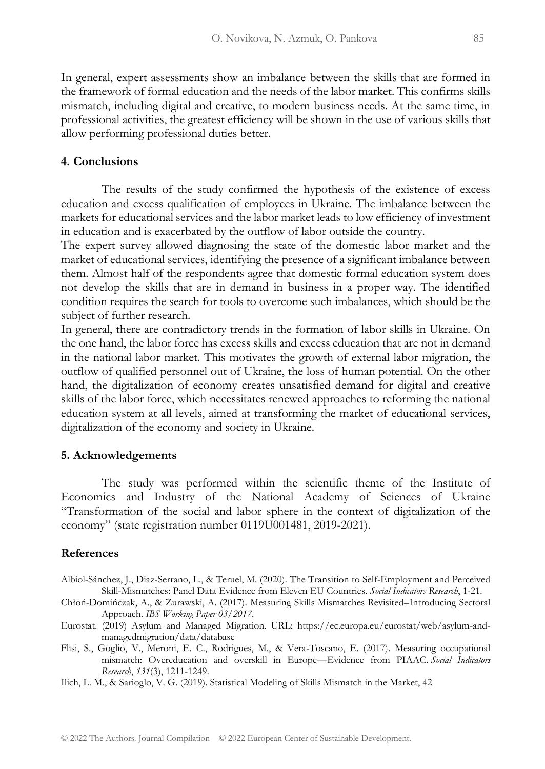In general, expert assessments show an imbalance between the skills that are formed in the framework of formal education and the needs of the labor market. This confirms skills mismatch, including digital and creative, to modern business needs. At the same time, in professional activities, the greatest efficiency will be shown in the use of various skills that allow performing professional duties better.

#### **4. Conclusions**

The results of the study confirmed the hypothesis of the existence of excess education and excess qualification of employees in Ukraine. The imbalance between the markets for educational services and the labor market leads to low efficiency of investment in education and is exacerbated by the outflow of labor outside the country.

The expert survey allowed diagnosing the state of the domestic labor market and the market of educational services, identifying the presence of a significant imbalance between them. Almost half of the respondents agree that domestic formal education system does not develop the skills that are in demand in business in a proper way. The identified condition requires the search for tools to overcome such imbalances, which should be the subject of further research.

In general, there are contradictory trends in the formation of labor skills in Ukraine. On the one hand, the labor force has excess skills and excess education that are not in demand in the national labor market. This motivates the growth of external labor migration, the outflow of qualified personnel out of Ukraine, the loss of human potential. On the other hand, the digitalization of economy creates unsatisfied demand for digital and creative skills of the labor force, which necessitates renewed approaches to reforming the national education system at all levels, aimed at transforming the market of educational services, digitalization of the economy and society in Ukraine.

#### **5. Acknowledgements**

The study was performed within the scientific theme of the Institute of Economics and Industry of the National Academy of Sciences of Ukraine "Transformation of the social and labor sphere in the context of digitalization of the economy" (state registration number 0119U001481, 2019-2021).

#### **References**

Albiol-Sánchez, J., Diaz-Serrano, L., & Teruel, M. (2020). The Transition to Self-Employment and Perceived Skill-Mismatches: Panel Data Evidence from Eleven EU Countries. *Social Indicators Research*, 1-21.

Chłoń-Domińczak, A., & Żurawski, A. (2017). Measuring Skills Mismatches Revisited–Introducing Sectoral Approach. *IBS Working Paper 03/2017*.

Eurostat. (2019) Asylum and Managed Migration. URL: https://ec.europa.eu/eurostat/web/asylum-andmanagedmigration/data/database

Flisi, S., Goglio, V., Meroni, E. C., Rodrigues, M., & Vera-Toscano, E. (2017). Measuring occupational mismatch: Overeducation and overskill in Europe—Evidence from PIAAC. *Social Indicators Research*, *131*(3), 1211-1249.

Ilich, L. M., & Sarioglo, V. G. (2019). Statistical Modeling of Skills Mismatch in the Market, 42